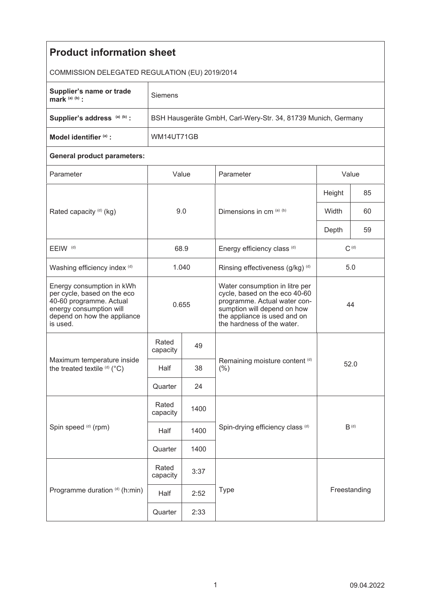| <b>Product information sheet</b>                                                                                                                          |                                                               |      |                                                                                                                                                                                              |           |      |  |  |  |
|-----------------------------------------------------------------------------------------------------------------------------------------------------------|---------------------------------------------------------------|------|----------------------------------------------------------------------------------------------------------------------------------------------------------------------------------------------|-----------|------|--|--|--|
| COMMISSION DELEGATED REGULATION (EU) 2019/2014                                                                                                            |                                                               |      |                                                                                                                                                                                              |           |      |  |  |  |
| Supplier's name or trade<br>mark $(a)$ $(b)$ :                                                                                                            | Siemens                                                       |      |                                                                                                                                                                                              |           |      |  |  |  |
| Supplier's address (a) (b) :                                                                                                                              | BSH Hausgeräte GmbH, Carl-Wery-Str. 34, 81739 Munich, Germany |      |                                                                                                                                                                                              |           |      |  |  |  |
| Model identifier (a) :                                                                                                                                    | WM14UT71GB                                                    |      |                                                                                                                                                                                              |           |      |  |  |  |
| <b>General product parameters:</b>                                                                                                                        |                                                               |      |                                                                                                                                                                                              |           |      |  |  |  |
| Parameter                                                                                                                                                 | Value                                                         |      | Parameter                                                                                                                                                                                    | Value     |      |  |  |  |
|                                                                                                                                                           | 9.0                                                           |      | Dimensions in cm (a) (b)                                                                                                                                                                     | Height    | 85   |  |  |  |
| Rated capacity (d) (kg)                                                                                                                                   |                                                               |      |                                                                                                                                                                                              | Width     | 60   |  |  |  |
|                                                                                                                                                           |                                                               |      |                                                                                                                                                                                              | Depth     | 59   |  |  |  |
| EEIW <sup>(d)</sup>                                                                                                                                       | 68.9                                                          |      | Energy efficiency class (d)                                                                                                                                                                  | $C^{(d)}$ |      |  |  |  |
| Washing efficiency index (d)                                                                                                                              | 1.040                                                         |      | Rinsing effectiveness (g/kg) (d)                                                                                                                                                             | 5.0       |      |  |  |  |
| Energy consumption in kWh<br>per cycle, based on the eco<br>40-60 programme. Actual<br>energy consumption will<br>depend on how the appliance<br>is used. | 0.655                                                         |      | Water consumption in litre per<br>cycle, based on the eco 40-60<br>programme. Actual water con-<br>sumption will depend on how<br>the appliance is used and on<br>the hardness of the water. | 44        |      |  |  |  |
| Maximum temperature inside<br>the treated textile (d) (°C)                                                                                                | Rated<br>capacity                                             | 49   |                                                                                                                                                                                              |           |      |  |  |  |
|                                                                                                                                                           | Half                                                          | 38   | Remaining moisture content (d)<br>$(\% )$                                                                                                                                                    |           | 52.0 |  |  |  |
|                                                                                                                                                           | Quarter                                                       | 24   |                                                                                                                                                                                              |           |      |  |  |  |
| Spin speed (d) (rpm)                                                                                                                                      | Rated<br>capacity                                             | 1400 |                                                                                                                                                                                              |           |      |  |  |  |
|                                                                                                                                                           | Half                                                          | 1400 | Spin-drying efficiency class (d)                                                                                                                                                             | $B^{(d)}$ |      |  |  |  |
|                                                                                                                                                           | Quarter                                                       | 1400 |                                                                                                                                                                                              |           |      |  |  |  |
| Programme duration (d) (h:min)                                                                                                                            | Rated<br>capacity                                             | 3:37 | Type<br>Freestanding                                                                                                                                                                         |           |      |  |  |  |
|                                                                                                                                                           | Half                                                          | 2:52 |                                                                                                                                                                                              |           |      |  |  |  |
|                                                                                                                                                           | Quarter                                                       | 2:33 |                                                                                                                                                                                              |           |      |  |  |  |